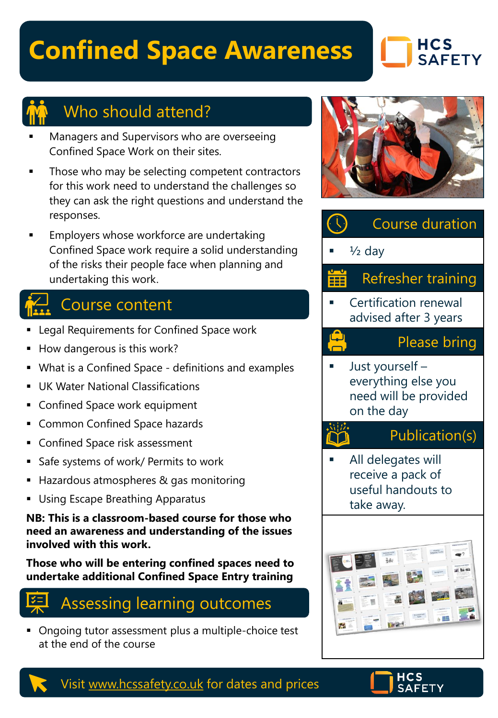# **Confined Space Awareness**

## **HCS SAFETY**



### Who should attend?

- Managers and Supervisors who are overseeing Confined Space Work on their sites.
- Those who may be selecting competent contractors for this work need to understand the challenges so they can ask the right questions and understand the responses.
- Employers whose workforce are undertaking Confined Space work require a solid understanding of the risks their people face when planning and undertaking this work.

# Course content

- **Example 2** Legal Requirements for Confined Space work
- How dangerous is this work?
- What is a Confined Space definitions and examples
- **UK Water National Classifications**
- **EX Confined Space work equipment**
- Common Confined Space hazards
- Confined Space risk assessment
- Safe systems of work/ Permits to work
- Hazardous atmospheres & gas monitoring
- **Using Escape Breathing Apparatus**

**NB: This is a classroom-based course for those who need an awareness and understanding of the issues involved with this work.** 

**Those who will be entering confined spaces need to undertake additional Confined Space Entry training**



■ Ongoing tutor assessment plus a multiple-choice test at the end of the course







#### Visit [www.hcssafety.co.uk](http://www.hcssafety.co.uk/) for dates and prices